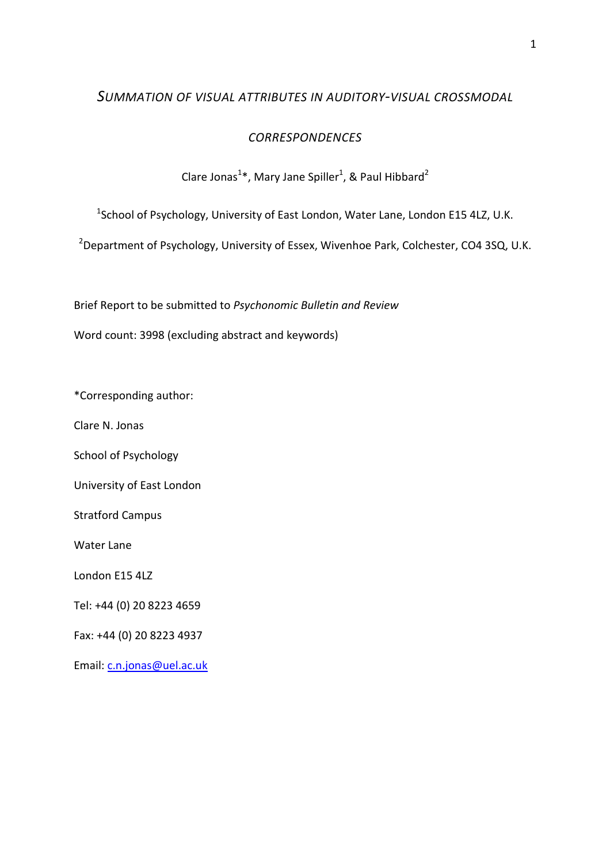# *SUMMATION OF VISUAL ATTRIBUTES IN AUDITORY-VISUAL CROSSMODAL*

# *CORRESPONDENCES*

# Clare Jonas<sup>1\*</sup>, Mary Jane Spiller<sup>1</sup>, & Paul Hibbard<sup>2</sup>

<sup>1</sup>School of Psychology, University of East London, Water Lane, London E15 4LZ, U.K.

<sup>2</sup> Department of Psychology, University of Essex, Wivenhoe Park, Colchester, CO4 3SQ, U.K.

Brief Report to be submitted to *Psychonomic Bulletin and Review* 

Word count: 3998 (excluding abstract and keywords)

\*Corresponding author:

Clare N. Jonas

School of Psychology

University of East London

Stratford Campus

Water Lane

London E15 4LZ

Tel: +44 (0) 20 8223 4659

Fax: +44 (0) 20 8223 4937

Email: c.n.jonas@uel.ac.uk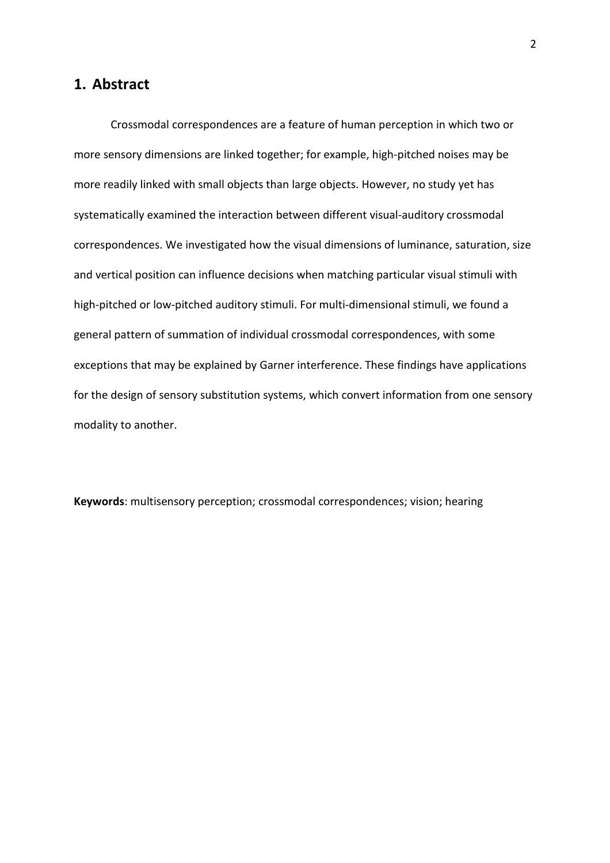### **1. Abstract**

Crossmodal correspondences are a feature of human perception in which two or more sensory dimensions are linked together; for example, high-pitched noises may be more readily linked with small objects than large objects. However, no study yet has systematically examined the interaction between different visual-auditory crossmodal correspondences. We investigated how the visual dimensions of luminance, saturation, size and vertical position can influence decisions when matching particular visual stimuli with high-pitched or low-pitched auditory stimuli. For multi-dimensional stimuli, we found a general pattern of summation of individual crossmodal correspondences, with some exceptions that may be explained by Garner interference. These findings have applications for the design of sensory substitution systems, which convert information from one sensory modality to another.

**Keywords**: multisensory perception; crossmodal correspondences; vision; hearing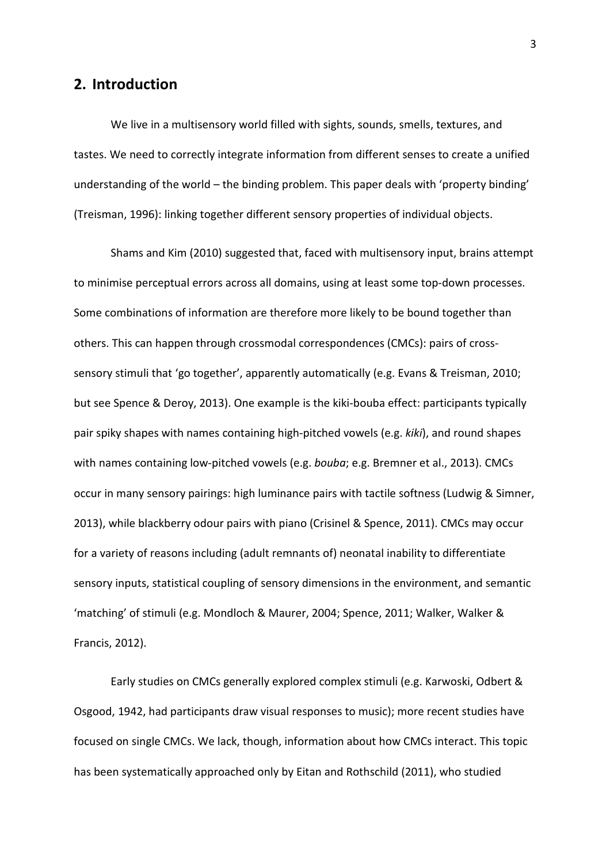### **2. Introduction**

We live in a multisensory world filled with sights, sounds, smells, textures, and tastes. We need to correctly integrate information from different senses to create a unified understanding of the world – the binding problem. This paper deals with 'property binding' (Treisman, 1996): linking together different sensory properties of individual objects.

Shams and Kim (2010) suggested that, faced with multisensory input, brains attempt to minimise perceptual errors across all domains, using at least some top-down processes. Some combinations of information are therefore more likely to be bound together than others. This can happen through crossmodal correspondences (CMCs): pairs of crosssensory stimuli that 'go together', apparently automatically (e.g. Evans & Treisman, 2010; but see Spence & Deroy, 2013). One example is the kiki-bouba effect: participants typically pair spiky shapes with names containing high-pitched vowels (e.g. *kiki*), and round shapes with names containing low-pitched vowels (e.g. *bouba*; e.g. Bremner et al., 2013). CMCs occur in many sensory pairings: high luminance pairs with tactile softness (Ludwig & Simner, 2013), while blackberry odour pairs with piano (Crisinel & Spence, 2011). CMCs may occur for a variety of reasons including (adult remnants of) neonatal inability to differentiate sensory inputs, statistical coupling of sensory dimensions in the environment, and semantic 'matching' of stimuli (e.g. Mondloch & Maurer, 2004; Spence, 2011; Walker, Walker & Francis, 2012).

Early studies on CMCs generally explored complex stimuli (e.g. Karwoski, Odbert & Osgood, 1942, had participants draw visual responses to music); more recent studies have focused on single CMCs. We lack, though, information about how CMCs interact. This topic has been systematically approached only by Eitan and Rothschild (2011), who studied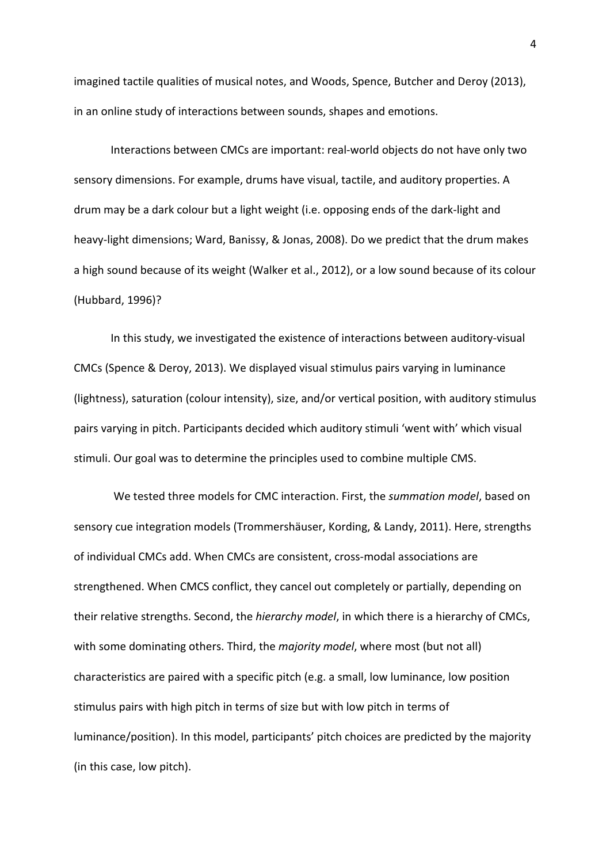imagined tactile qualities of musical notes, and Woods, Spence, Butcher and Deroy (2013), in an online study of interactions between sounds, shapes and emotions.

Interactions between CMCs are important: real-world objects do not have only two sensory dimensions. For example, drums have visual, tactile, and auditory properties. A drum may be a dark colour but a light weight (i.e. opposing ends of the dark-light and heavy-light dimensions; Ward, Banissy, & Jonas, 2008). Do we predict that the drum makes a high sound because of its weight (Walker et al., 2012), or a low sound because of its colour (Hubbard, 1996)?

In this study, we investigated the existence of interactions between auditory-visual CMCs (Spence & Deroy, 2013). We displayed visual stimulus pairs varying in luminance (lightness), saturation (colour intensity), size, and/or vertical position, with auditory stimulus pairs varying in pitch. Participants decided which auditory stimuli 'went with' which visual stimuli. Our goal was to determine the principles used to combine multiple CMS.

 We tested three models for CMC interaction. First, the *summation model*, based on sensory cue integration models (Trommershäuser, Kording, & Landy, 2011). Here, strengths of individual CMCs add. When CMCs are consistent, cross-modal associations are strengthened. When CMCS conflict, they cancel out completely or partially, depending on their relative strengths. Second, the *hierarchy model*, in which there is a hierarchy of CMCs, with some dominating others. Third, the *majority model*, where most (but not all) characteristics are paired with a specific pitch (e.g. a small, low luminance, low position stimulus pairs with high pitch in terms of size but with low pitch in terms of luminance/position). In this model, participants' pitch choices are predicted by the majority (in this case, low pitch).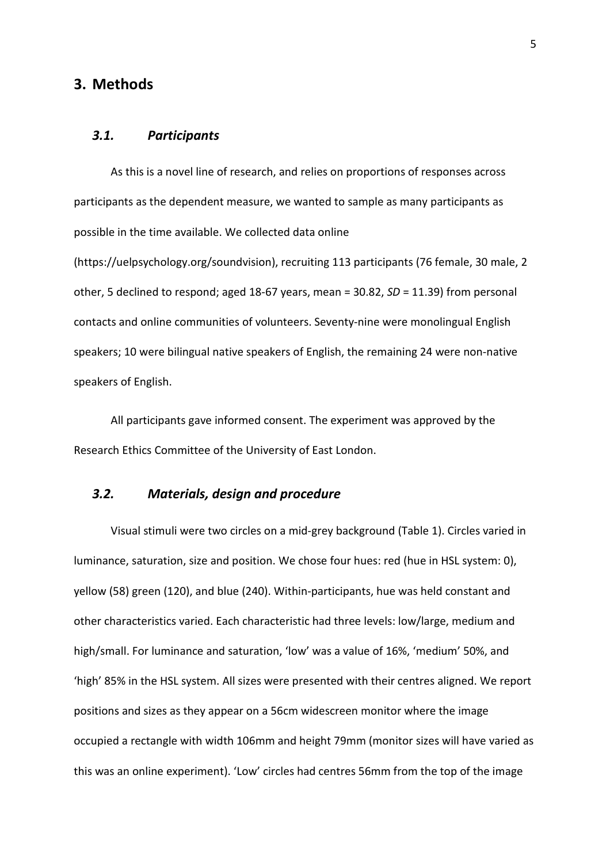### **3. Methods**

#### *3.1. Participants*

As this is a novel line of research, and relies on proportions of responses across participants as the dependent measure, we wanted to sample as many participants as possible in the time available. We collected data online

(https://uelpsychology.org/soundvision), recruiting 113 participants (76 female, 30 male, 2 other, 5 declined to respond; aged 18-67 years, mean = 30.82, *SD* = 11.39) from personal contacts and online communities of volunteers. Seventy-nine were monolingual English speakers; 10 were bilingual native speakers of English, the remaining 24 were non-native speakers of English.

All participants gave informed consent. The experiment was approved by the Research Ethics Committee of the University of East London.

# *3.2. Materials, design and procedure*

Visual stimuli were two circles on a mid-grey background (Table 1). Circles varied in luminance, saturation, size and position. We chose four hues: red (hue in HSL system: 0), yellow (58) green (120), and blue (240). Within-participants, hue was held constant and other characteristics varied. Each characteristic had three levels: low/large, medium and high/small. For luminance and saturation, 'low' was a value of 16%, 'medium' 50%, and 'high' 85% in the HSL system. All sizes were presented with their centres aligned. We report positions and sizes as they appear on a 56cm widescreen monitor where the image occupied a rectangle with width 106mm and height 79mm (monitor sizes will have varied as this was an online experiment). 'Low' circles had centres 56mm from the top of the image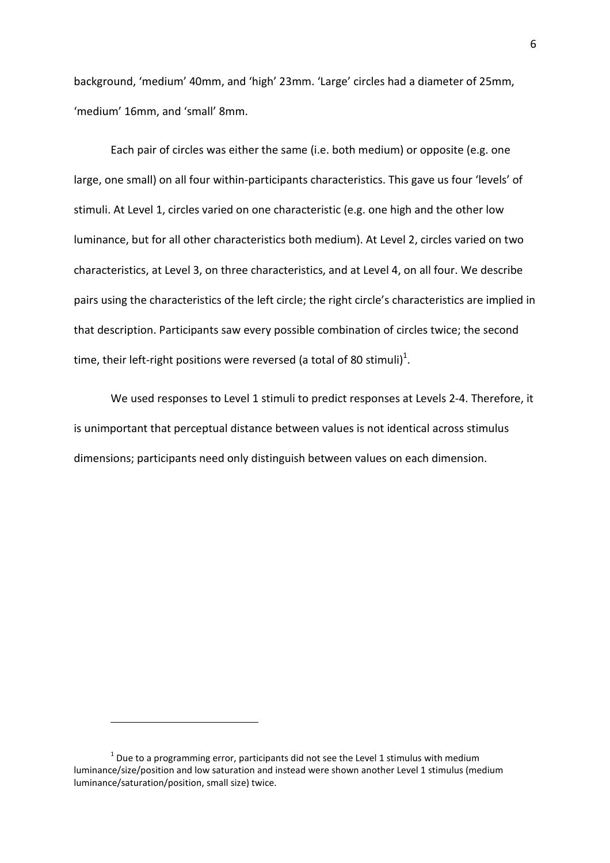background, 'medium' 40mm, and 'high' 23mm. 'Large' circles had a diameter of 25mm, 'medium' 16mm, and 'small' 8mm.

Each pair of circles was either the same (i.e. both medium) or opposite (e.g. one large, one small) on all four within-participants characteristics. This gave us four 'levels' of stimuli. At Level 1, circles varied on one characteristic (e.g. one high and the other low luminance, but for all other characteristics both medium). At Level 2, circles varied on two characteristics, at Level 3, on three characteristics, and at Level 4, on all four. We describe pairs using the characteristics of the left circle; the right circle's characteristics are implied in that description. Participants saw every possible combination of circles twice; the second time, their left-right positions were reversed (a total of 80 stimuli) $^1$ .

We used responses to Level 1 stimuli to predict responses at Levels 2-4. Therefore, it is unimportant that perceptual distance between values is not identical across stimulus dimensions; participants need only distinguish between values on each dimension.

 $\overline{a}$ 

 $1$  Due to a programming error, participants did not see the Level 1 stimulus with medium luminance/size/position and low saturation and instead were shown another Level 1 stimulus (medium luminance/saturation/position, small size) twice.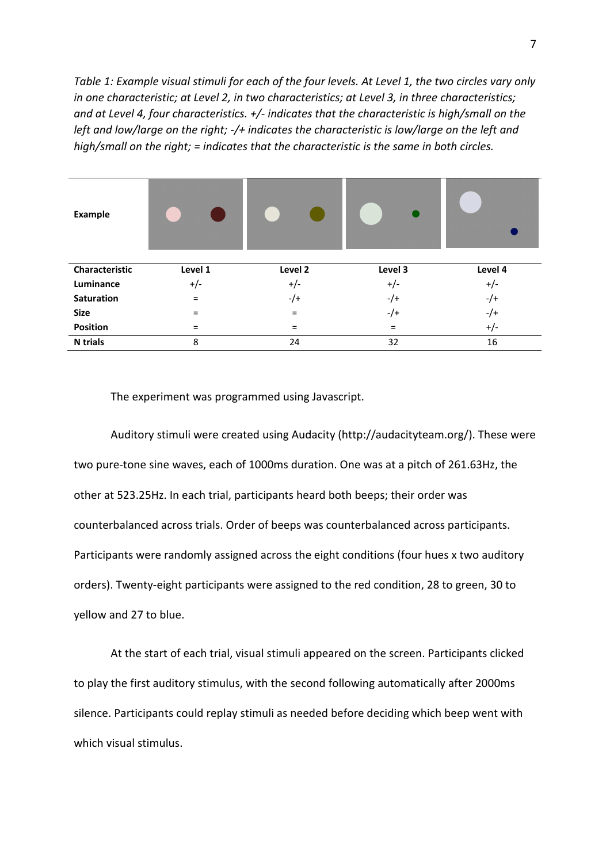*Table 1: Example visual stimuli for each of the four levels. At Level 1, the two circles vary only in one characteristic; at Level 2, in two characteristics; at Level 3, in three characteristics; and at Level 4, four characteristics. +/- indicates that the characteristic is high/small on the left and low/large on the right; -/+ indicates the characteristic is low/large on the left and high/small on the right; = indicates that the characteristic is the same in both circles.* 

| <b>Example</b>  |         |         |          |         |
|-----------------|---------|---------|----------|---------|
| Characteristic  | Level 1 | Level 2 | Level 3  | Level 4 |
| Luminance       | $+/-$   | $+/-$   | $+/-$    | $+/-$   |
| Saturation      | $=$     | $-/+$   | $-/+$    | $-/-$   |
| <b>Size</b>     | =       | $=$     | $-/+$    | $-/-$   |
| Position        | =       | $=$     | $\equiv$ | $+/-$   |
| <b>N</b> trials | 8       | 24      | 32       | 16      |

The experiment was programmed using Javascript.

Auditory stimuli were created using Audacity (http://audacityteam.org/). These were two pure-tone sine waves, each of 1000ms duration. One was at a pitch of 261.63Hz, the other at 523.25Hz. In each trial, participants heard both beeps; their order was counterbalanced across trials. Order of beeps was counterbalanced across participants. Participants were randomly assigned across the eight conditions (four hues x two auditory orders). Twenty-eight participants were assigned to the red condition, 28 to green, 30 to yellow and 27 to blue.

At the start of each trial, visual stimuli appeared on the screen. Participants clicked to play the first auditory stimulus, with the second following automatically after 2000ms silence. Participants could replay stimuli as needed before deciding which beep went with which visual stimulus.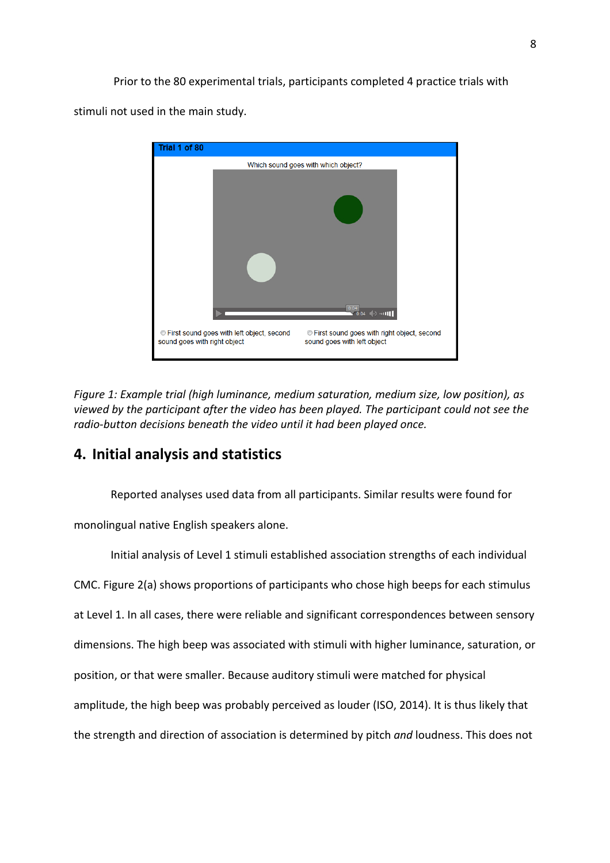Prior to the 80 experimental trials, participants completed 4 practice trials with

stimuli not used in the main study.



*Figure 1: Example trial (high luminance, medium saturation, medium size, low position), as viewed by the participant after the video has been played. The participant could not see the radio-button decisions beneath the video until it had been played once.* 

# **4. Initial analysis and statistics**

Reported analyses used data from all participants. Similar results were found for

monolingual native English speakers alone.

Initial analysis of Level 1 stimuli established association strengths of each individual CMC. Figure 2(a) shows proportions of participants who chose high beeps for each stimulus at Level 1. In all cases, there were reliable and significant correspondences between sensory dimensions. The high beep was associated with stimuli with higher luminance, saturation, or position, or that were smaller. Because auditory stimuli were matched for physical amplitude, the high beep was probably perceived as louder (ISO, 2014). It is thus likely that the strength and direction of association is determined by pitch *and* loudness. This does not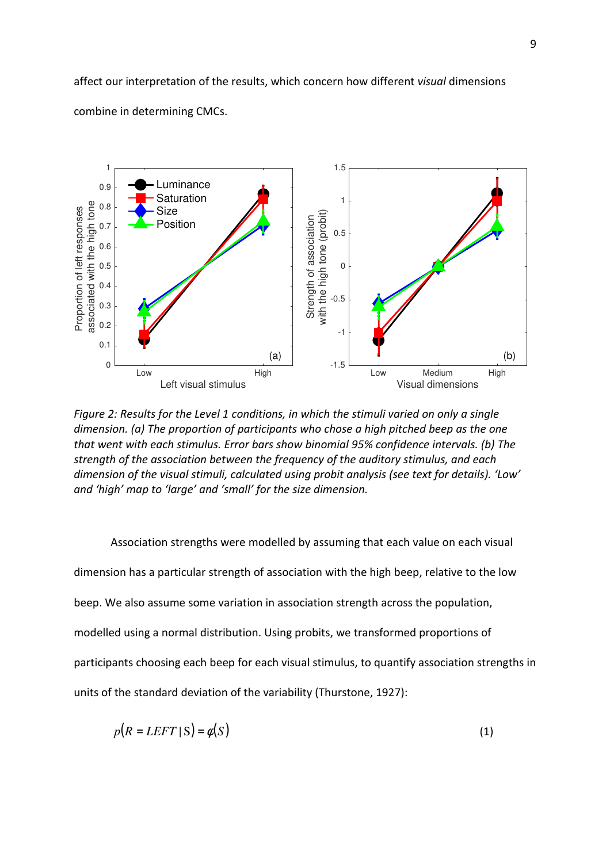affect our interpretation of the results, which concern how different *visual* dimensions combine in determining CMCs.



*Figure 2: Results for the Level 1 conditions, in which the stimuli varied on only a single dimension. (a) The proportion of participants who chose a high pitched beep as the one that went with each stimulus. Error bars show binomial 95% confidence intervals. (b) The strength of the association between the frequency of the auditory stimulus, and each dimension of the visual stimuli, calculated using probit analysis (see text for details). 'Low' and 'high' map to 'large' and 'small' for the size dimension.* 

Association strengths were modelled by assuming that each value on each visual dimension has a particular strength of association with the high beep, relative to the low beep. We also assume some variation in association strength across the population, modelled using a normal distribution. Using probits, we transformed proportions of participants choosing each beep for each visual stimulus, to quantify association strengths in units of the standard deviation of the variability (Thurstone, 1927):

$$
p(R = LEFT \mid S) = \phi(S) \tag{1}
$$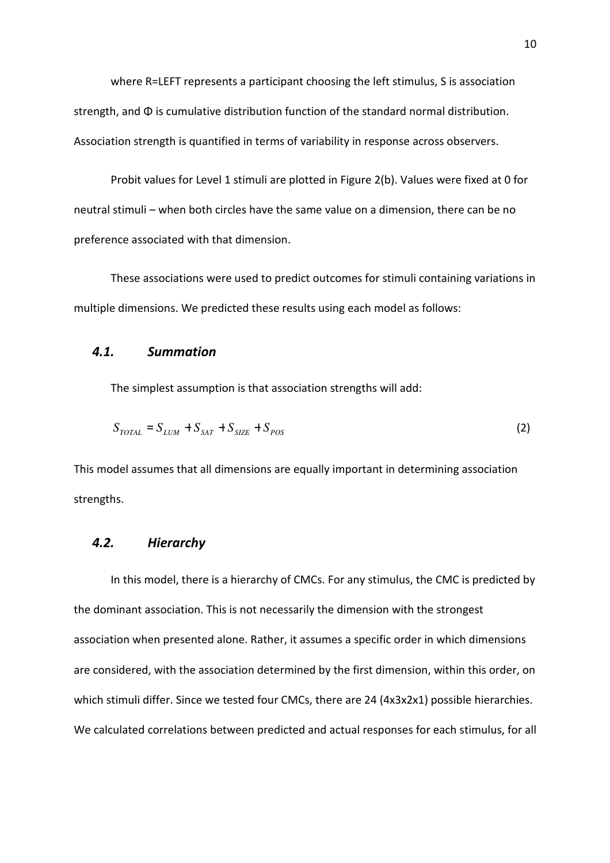where R=LEFT represents a participant choosing the left stimulus, S is association strength, and Φ is cumulative distribution function of the standard normal distribution. Association strength is quantified in terms of variability in response across observers.

Probit values for Level 1 stimuli are plotted in Figure 2(b). Values were fixed at 0 for neutral stimuli – when both circles have the same value on a dimension, there can be no preference associated with that dimension.

These associations were used to predict outcomes for stimuli containing variations in multiple dimensions. We predicted these results using each model as follows:

#### *4.1. Summation*

The simplest assumption is that association strengths will add:

$$
S_{TOTAL} = S_{LUM} + S_{SAT} + S_{SIZE} + S_{POS}
$$
 (2)

This model assumes that all dimensions are equally important in determining association strengths.

#### *4.2. Hierarchy*

In this model, there is a hierarchy of CMCs. For any stimulus, the CMC is predicted by the dominant association. This is not necessarily the dimension with the strongest association when presented alone. Rather, it assumes a specific order in which dimensions are considered, with the association determined by the first dimension, within this order, on which stimuli differ. Since we tested four CMCs, there are 24 (4x3x2x1) possible hierarchies. We calculated correlations between predicted and actual responses for each stimulus, for all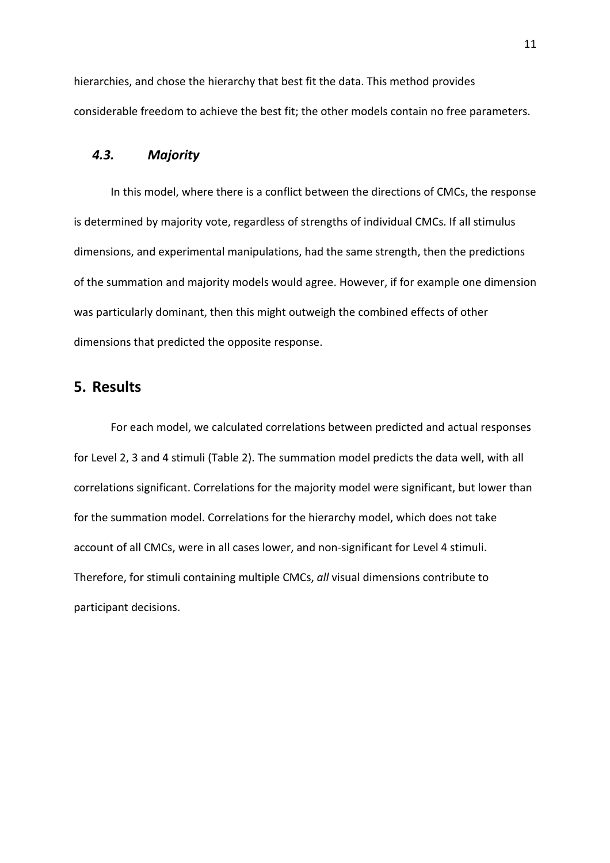hierarchies, and chose the hierarchy that best fit the data. This method provides considerable freedom to achieve the best fit; the other models contain no free parameters.

### *4.3. Majority*

In this model, where there is a conflict between the directions of CMCs, the response is determined by majority vote, regardless of strengths of individual CMCs. If all stimulus dimensions, and experimental manipulations, had the same strength, then the predictions of the summation and majority models would agree. However, if for example one dimension was particularly dominant, then this might outweigh the combined effects of other dimensions that predicted the opposite response.

# **5. Results**

For each model, we calculated correlations between predicted and actual responses for Level 2, 3 and 4 stimuli (Table 2). The summation model predicts the data well, with all correlations significant. Correlations for the majority model were significant, but lower than for the summation model. Correlations for the hierarchy model, which does not take account of all CMCs, were in all cases lower, and non-significant for Level 4 stimuli. Therefore, for stimuli containing multiple CMCs, *all* visual dimensions contribute to participant decisions.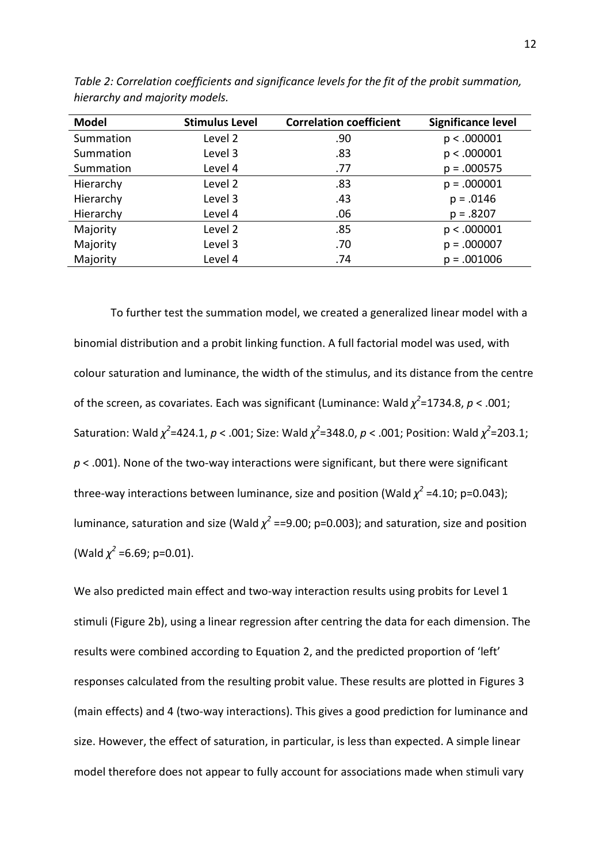| <b>Model</b> | <b>Stimulus Level</b> | <b>Correlation coefficient</b> | Significance level |
|--------------|-----------------------|--------------------------------|--------------------|
| Summation    | Level 2               | .90                            | p < .000001        |
| Summation    | Level 3               | .83                            | p < .000001        |
| Summation    | Level 4               | .77                            | $p = .000575$      |
| Hierarchy    | Level 2               | .83                            | $p = .000001$      |
| Hierarchy    | Level 3               | .43                            | $p = .0146$        |
| Hierarchy    | Level 4               | .06                            | $p = .8207$        |
| Majority     | Level 2               | .85                            | p < .000001        |
| Majority     | Level 3               | .70                            | $p = .000007$      |
| Majority     | Level 4               | .74                            | $p = .001006$      |

*Table 2: Correlation coefficients and significance levels for the fit of the probit summation, hierarchy and majority models.* 

To further test the summation model, we created a generalized linear model with a binomial distribution and a probit linking function. A full factorial model was used, with colour saturation and luminance, the width of the stimulus, and its distance from the centre of the screen, as covariates. Each was significant (Luminance: Wald *χ 2* =1734.8, *p* < .001; Saturation: Wald  $\chi^2$ =424.1,  $p < .001$ ; Size: Wald  $\chi^2$ =348.0,  $p < .001$ ; Position: Wald  $\chi^2$ =203.1; *p* < .001). None of the two-way interactions were significant, but there were significant three-way interactions between luminance, size and position (Wald  $\chi^2$  =4.10; p=0.043); luminance, saturation and size (Wald  $\chi^2$  ==9.00; p=0.003); and saturation, size and position (Wald  $\chi^2$  =6.69; p=0.01).

We also predicted main effect and two-way interaction results using probits for Level 1 stimuli (Figure 2b), using a linear regression after centring the data for each dimension. The results were combined according to Equation 2, and the predicted proportion of 'left' responses calculated from the resulting probit value. These results are plotted in Figures 3 (main effects) and 4 (two-way interactions). This gives a good prediction for luminance and size. However, the effect of saturation, in particular, is less than expected. A simple linear model therefore does not appear to fully account for associations made when stimuli vary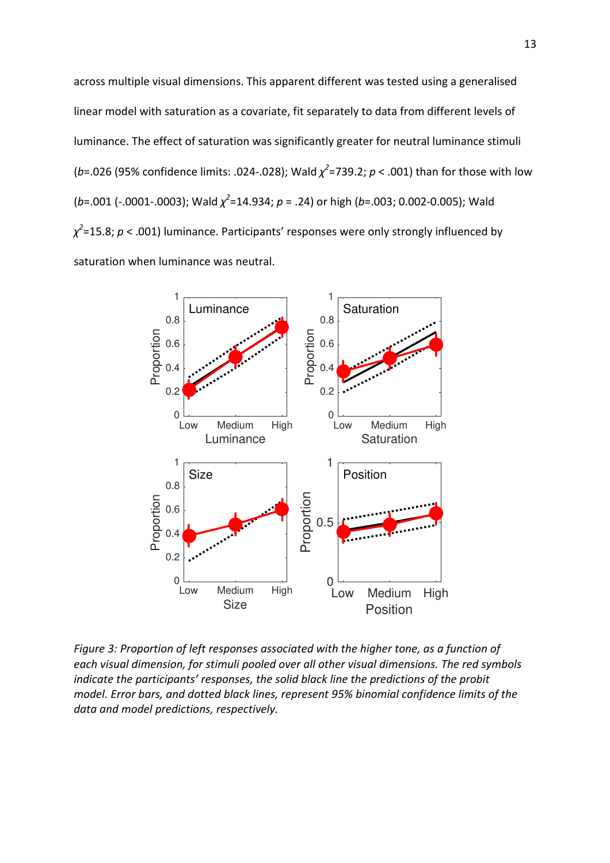across multiple visual dimensions. This apparent different was tested using a generalised linear model with saturation as a covariate, fit separately to data from different levels of luminance. The effect of saturation was significantly greater for neutral luminance stimuli (*b*=.026 (95% confidence limits: .024-.028); Wald *χ 2* =739.2; *p* < .001) than for those with low (*b*=.001 (-.0001-.0003); Wald *χ 2* =14.934; *p* = .24) or high (*b*=.003; 0.002-0.005); Wald *χ 2* =15.8; *p* < .001) luminance. Participants' responses were only strongly influenced by saturation when luminance was neutral.



*Figure 3: Proportion of left responses associated with the higher tone, as a function of each visual dimension, for stimuli pooled over all other visual dimensions. The red symbols indicate the participants' responses, the solid black line the predictions of the probit model. Error bars, and dotted black lines, represent 95% binomial confidence limits of the data and model predictions, respectively.*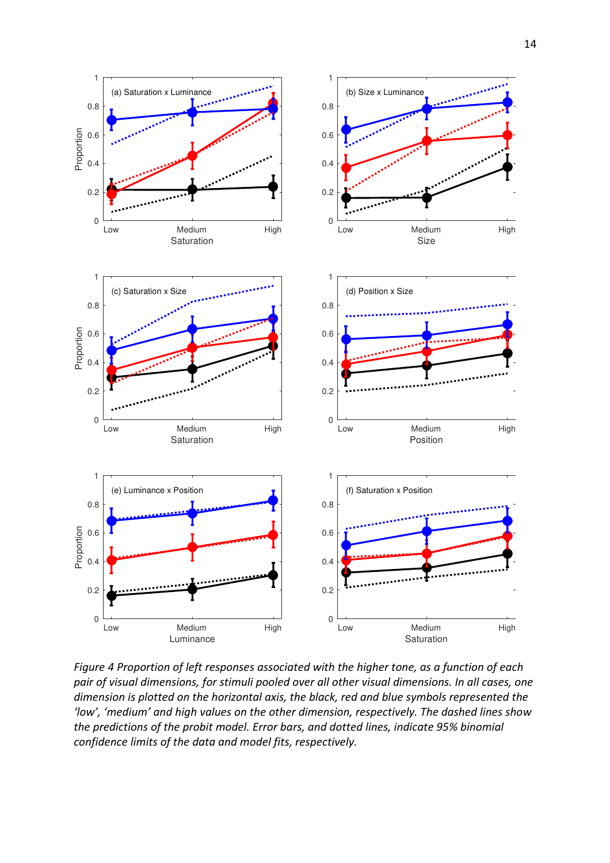



1

(b) Size x Luminance

1

(a) Saturation x Luminance

*Figure 4 Proportion of left responses associated with the higher tone, as a function of each pair of visual dimensions, for stimuli pooled over all other visual dimensions. In all cases, one dimension is plotted on the horizontal axis, the black, red and blue symbols represented the 'low', 'medium' and high values on the other dimension, respectively. The dashed lines show the predictions of the probit model. Error bars, and dotted lines, indicate 95% binomial confidence limits of the data and model fits, respectively.*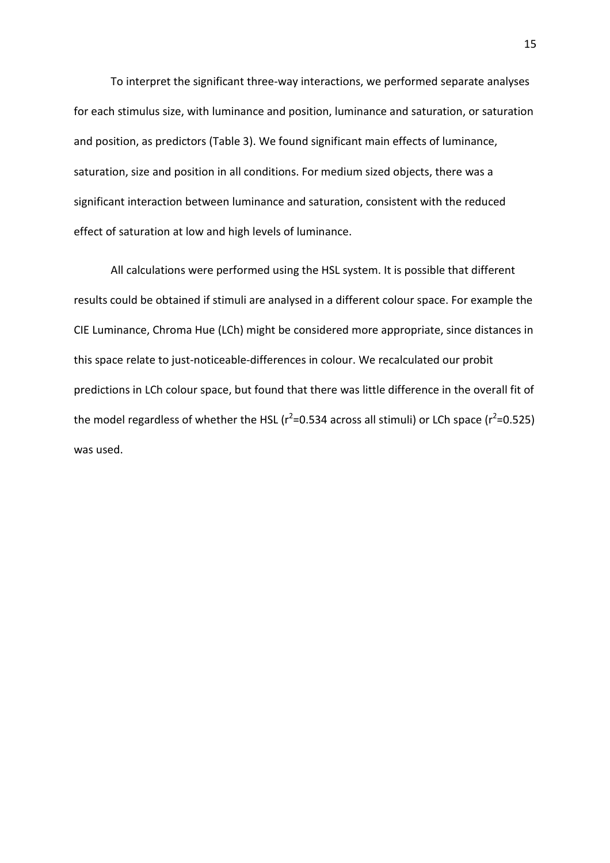To interpret the significant three-way interactions, we performed separate analyses for each stimulus size, with luminance and position, luminance and saturation, or saturation and position, as predictors (Table 3). We found significant main effects of luminance, saturation, size and position in all conditions. For medium sized objects, there was a significant interaction between luminance and saturation, consistent with the reduced effect of saturation at low and high levels of luminance.

All calculations were performed using the HSL system. It is possible that different results could be obtained if stimuli are analysed in a different colour space. For example the CIE Luminance, Chroma Hue (LCh) might be considered more appropriate, since distances in this space relate to just-noticeable-differences in colour. We recalculated our probit predictions in LCh colour space, but found that there was little difference in the overall fit of the model regardless of whether the HSL ( $r^2$ =0.534 across all stimuli) or LCh space ( $r^2$ =0.525) was used.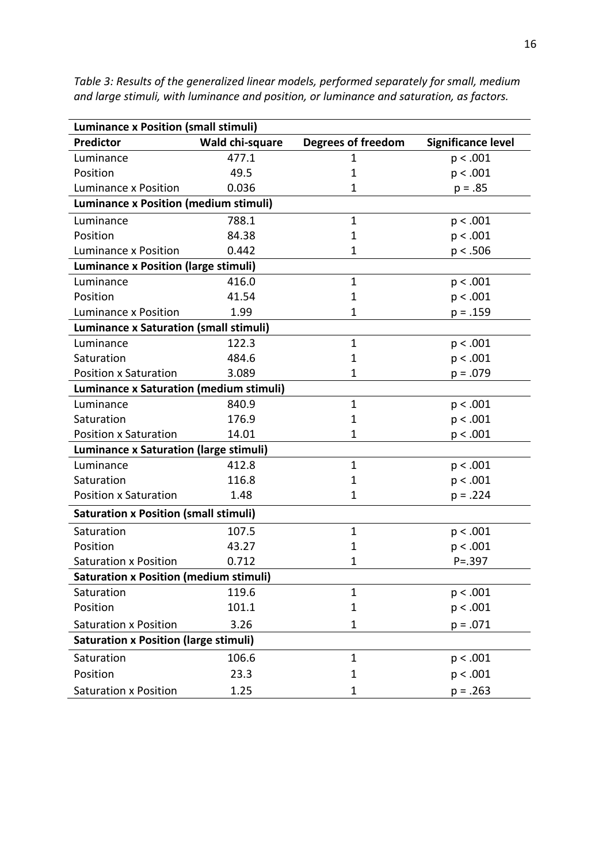| <b>Luminance x Position (small stimuli)</b>    |                 |                           |                           |  |  |  |  |
|------------------------------------------------|-----------------|---------------------------|---------------------------|--|--|--|--|
| <b>Predictor</b>                               | Wald chi-square | <b>Degrees of freedom</b> | <b>Significance level</b> |  |  |  |  |
| Luminance                                      | 477.1           | 1                         | p < .001                  |  |  |  |  |
| Position                                       | 49.5            | 1                         | p < .001                  |  |  |  |  |
| Luminance x Position                           | 0.036           | 1                         | $p = .85$                 |  |  |  |  |
| <b>Luminance x Position (medium stimuli)</b>   |                 |                           |                           |  |  |  |  |
| Luminance                                      | 788.1           | $\mathbf{1}$              | p < .001                  |  |  |  |  |
| Position                                       | 84.38           | $\mathbf{1}$              | p < .001                  |  |  |  |  |
| <b>Luminance x Position</b>                    | 0.442           | 1                         | p < .506                  |  |  |  |  |
| <b>Luminance x Position (large stimuli)</b>    |                 |                           |                           |  |  |  |  |
| Luminance                                      | 416.0           | $\mathbf{1}$              | p < .001                  |  |  |  |  |
| Position                                       | 41.54           | 1                         | p < .001                  |  |  |  |  |
| Luminance x Position                           | 1.99            | 1                         | $p = .159$                |  |  |  |  |
| <b>Luminance x Saturation (small stimuli)</b>  |                 |                           |                           |  |  |  |  |
| Luminance                                      | 122.3           | $\mathbf{1}$              | p < .001                  |  |  |  |  |
| Saturation                                     | 484.6           | $\mathbf{1}$              | p < .001                  |  |  |  |  |
| <b>Position x Saturation</b>                   | 3.089           | 1                         | $p = .079$                |  |  |  |  |
| <b>Luminance x Saturation (medium stimuli)</b> |                 |                           |                           |  |  |  |  |
| Luminance                                      | 840.9           | $\mathbf{1}$              | p < .001                  |  |  |  |  |
| Saturation                                     | 176.9           | 1                         | p < .001                  |  |  |  |  |
| <b>Position x Saturation</b>                   | 14.01           | 1                         | p < .001                  |  |  |  |  |
| <b>Luminance x Saturation (large stimuli)</b>  |                 |                           |                           |  |  |  |  |
| Luminance                                      | 412.8           | $\mathbf{1}$              | p < .001                  |  |  |  |  |
| Saturation                                     | 116.8           | $\mathbf{1}$              | p < .001                  |  |  |  |  |
| <b>Position x Saturation</b>                   | 1.48            | 1                         | $p = .224$                |  |  |  |  |
| <b>Saturation x Position (small stimuli)</b>   |                 |                           |                           |  |  |  |  |
| Saturation                                     | 107.5           | $\mathbf{1}$              | p < .001                  |  |  |  |  |
| Position                                       | 43.27           | $\mathbf{1}$              | p < .001                  |  |  |  |  |
| <b>Saturation x Position</b>                   | 0.712           | 1                         | $P = .397$                |  |  |  |  |
| <b>Saturation x Position (medium stimuli)</b>  |                 |                           |                           |  |  |  |  |
| Saturation                                     | 119.6           | $\mathbf{1}$              | p < .001                  |  |  |  |  |
| Position                                       | 101.1           | 1                         | p < .001                  |  |  |  |  |
| <b>Saturation x Position</b>                   | 3.26            | 1                         | $p = .071$                |  |  |  |  |
| <b>Saturation x Position (large stimuli)</b>   |                 |                           |                           |  |  |  |  |
| Saturation                                     | 106.6           | $\mathbf{1}$              | p < .001                  |  |  |  |  |
| Position                                       | 23.3            | 1                         | p < .001                  |  |  |  |  |
| <b>Saturation x Position</b>                   | 1.25            | 1                         | $p = .263$                |  |  |  |  |

*Table 3: Results of the generalized linear models, performed separately for small, medium and large stimuli, with luminance and position, or luminance and saturation, as factors.*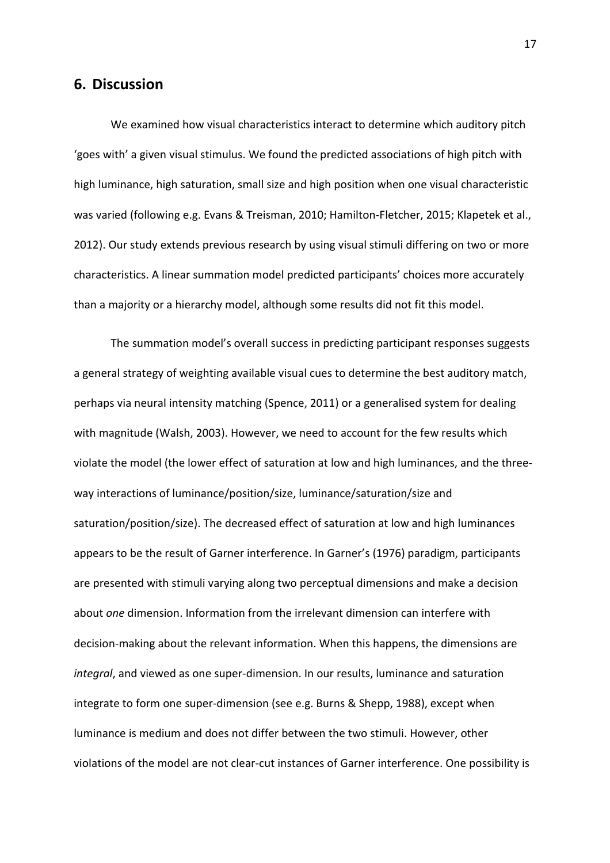### **6. Discussion**

We examined how visual characteristics interact to determine which auditory pitch 'goes with' a given visual stimulus. We found the predicted associations of high pitch with high luminance, high saturation, small size and high position when one visual characteristic was varied (following e.g. Evans & Treisman, 2010; Hamilton-Fletcher, 2015; Klapetek et al., 2012). Our study extends previous research by using visual stimuli differing on two or more characteristics. A linear summation model predicted participants' choices more accurately than a majority or a hierarchy model, although some results did not fit this model.

The summation model's overall success in predicting participant responses suggests a general strategy of weighting available visual cues to determine the best auditory match, perhaps via neural intensity matching (Spence, 2011) or a generalised system for dealing with magnitude (Walsh, 2003). However, we need to account for the few results which violate the model (the lower effect of saturation at low and high luminances, and the threeway interactions of luminance/position/size, luminance/saturation/size and saturation/position/size). The decreased effect of saturation at low and high luminances appears to be the result of Garner interference. In Garner's (1976) paradigm, participants are presented with stimuli varying along two perceptual dimensions and make a decision about *one* dimension. Information from the irrelevant dimension can interfere with decision-making about the relevant information. When this happens, the dimensions are *integral*, and viewed as one super-dimension. In our results, luminance and saturation integrate to form one super-dimension (see e.g. Burns & Shepp, 1988), except when luminance is medium and does not differ between the two stimuli. However, other violations of the model are not clear-cut instances of Garner interference. One possibility is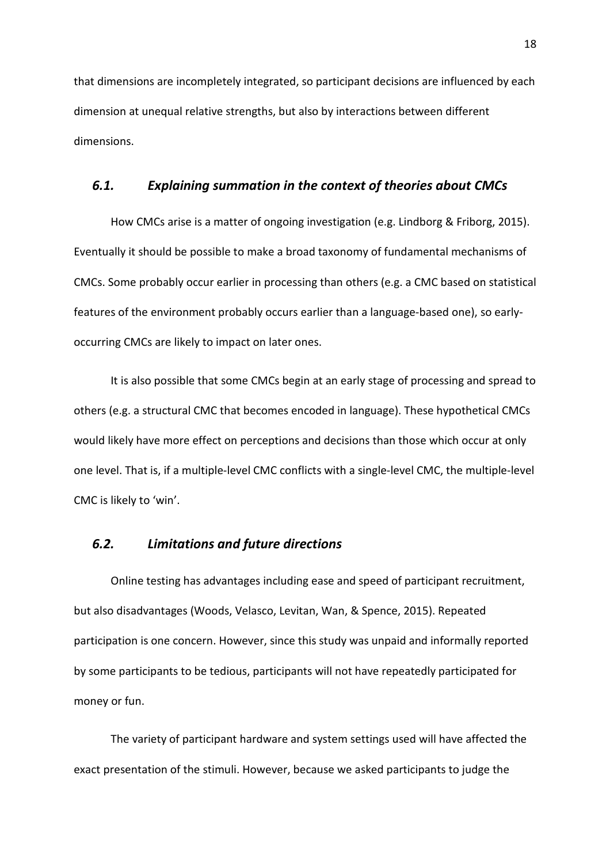that dimensions are incompletely integrated, so participant decisions are influenced by each dimension at unequal relative strengths, but also by interactions between different dimensions.

### *6.1. Explaining summation in the context of theories about CMCs*

How CMCs arise is a matter of ongoing investigation (e.g. Lindborg & Friborg, 2015). Eventually it should be possible to make a broad taxonomy of fundamental mechanisms of CMCs. Some probably occur earlier in processing than others (e.g. a CMC based on statistical features of the environment probably occurs earlier than a language-based one), so earlyoccurring CMCs are likely to impact on later ones.

It is also possible that some CMCs begin at an early stage of processing and spread to others (e.g. a structural CMC that becomes encoded in language). These hypothetical CMCs would likely have more effect on perceptions and decisions than those which occur at only one level. That is, if a multiple-level CMC conflicts with a single-level CMC, the multiple-level CMC is likely to 'win'.

# *6.2. Limitations and future directions*

Online testing has advantages including ease and speed of participant recruitment, but also disadvantages (Woods, Velasco, Levitan, Wan, & Spence, 2015). Repeated participation is one concern. However, since this study was unpaid and informally reported by some participants to be tedious, participants will not have repeatedly participated for money or fun.

The variety of participant hardware and system settings used will have affected the exact presentation of the stimuli. However, because we asked participants to judge the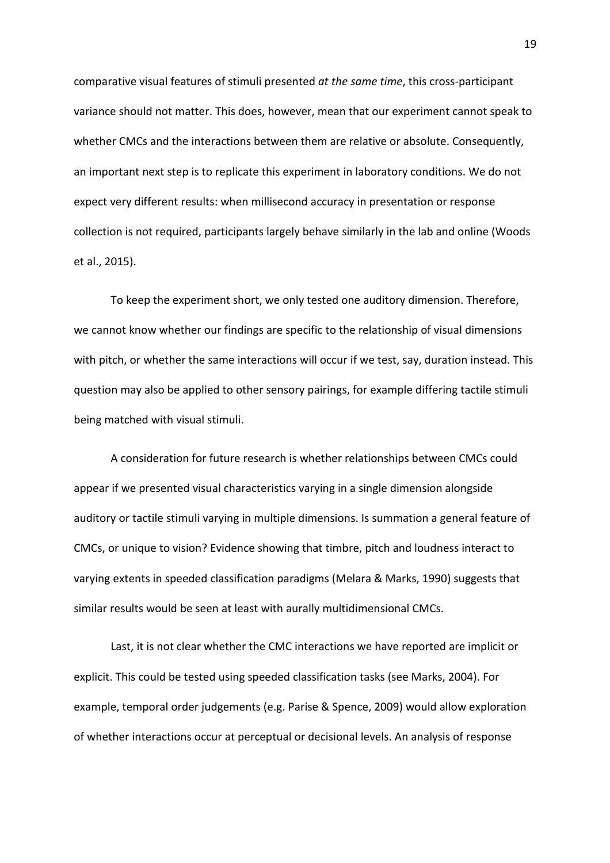comparative visual features of stimuli presented *at the same time*, this cross-participant variance should not matter. This does, however, mean that our experiment cannot speak to whether CMCs and the interactions between them are relative or absolute. Consequently, an important next step is to replicate this experiment in laboratory conditions. We do not expect very different results: when millisecond accuracy in presentation or response collection is not required, participants largely behave similarly in the lab and online (Woods et al., 2015).

To keep the experiment short, we only tested one auditory dimension. Therefore, we cannot know whether our findings are specific to the relationship of visual dimensions with pitch, or whether the same interactions will occur if we test, say, duration instead. This question may also be applied to other sensory pairings, for example differing tactile stimuli being matched with visual stimuli.

A consideration for future research is whether relationships between CMCs could appear if we presented visual characteristics varying in a single dimension alongside auditory or tactile stimuli varying in multiple dimensions. Is summation a general feature of CMCs, or unique to vision? Evidence showing that timbre, pitch and loudness interact to varying extents in speeded classification paradigms (Melara & Marks, 1990) suggests that similar results would be seen at least with aurally multidimensional CMCs.

Last, it is not clear whether the CMC interactions we have reported are implicit or explicit. This could be tested using speeded classification tasks (see Marks, 2004). For example, temporal order judgements (e.g. Parise & Spence, 2009) would allow exploration of whether interactions occur at perceptual or decisional levels. An analysis of response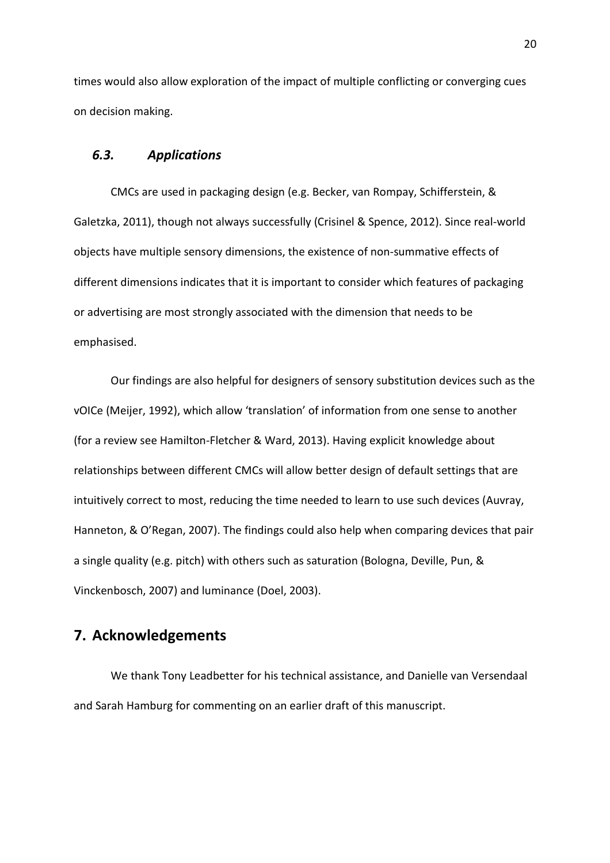times would also allow exploration of the impact of multiple conflicting or converging cues on decision making.

#### *6.3. Applications*

CMCs are used in packaging design (e.g. Becker, van Rompay, Schifferstein, & Galetzka, 2011), though not always successfully (Crisinel & Spence, 2012). Since real-world objects have multiple sensory dimensions, the existence of non-summative effects of different dimensions indicates that it is important to consider which features of packaging or advertising are most strongly associated with the dimension that needs to be emphasised.

Our findings are also helpful for designers of sensory substitution devices such as the vOICe (Meijer, 1992), which allow 'translation' of information from one sense to another (for a review see Hamilton-Fletcher & Ward, 2013). Having explicit knowledge about relationships between different CMCs will allow better design of default settings that are intuitively correct to most, reducing the time needed to learn to use such devices (Auvray, Hanneton, & O'Regan, 2007). The findings could also help when comparing devices that pair a single quality (e.g. pitch) with others such as saturation (Bologna, Deville, Pun, & Vinckenbosch, 2007) and luminance (Doel, 2003).

# **7. Acknowledgements**

We thank Tony Leadbetter for his technical assistance, and Danielle van Versendaal and Sarah Hamburg for commenting on an earlier draft of this manuscript.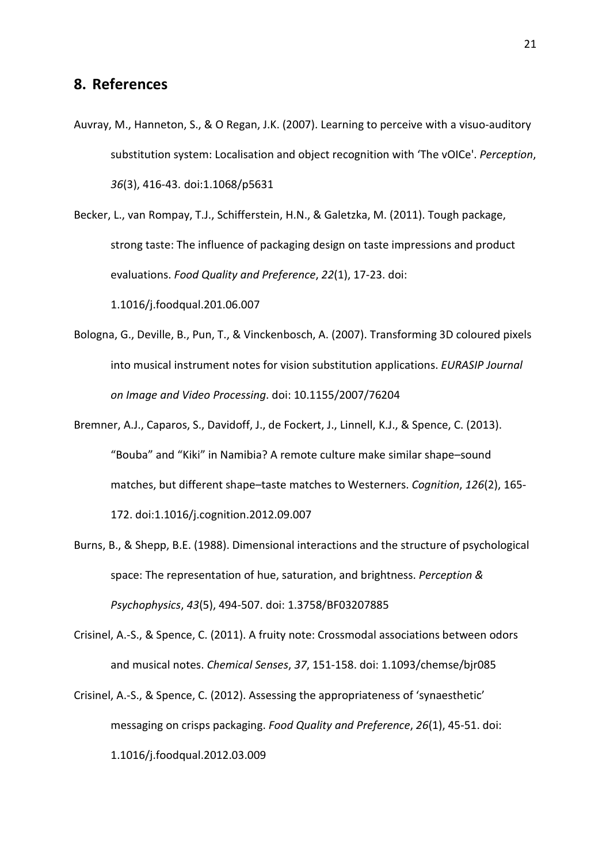## **8. References**

Auvray, M., Hanneton, S., & O Regan, J.K. (2007). Learning to perceive with a visuo-auditory substitution system: Localisation and object recognition with 'The vOICe'. *Perception*, *36*(3), 416-43. doi:1.1068/p5631

Becker, L., van Rompay, T.J., Schifferstein, H.N., & Galetzka, M. (2011). Tough package, strong taste: The influence of packaging design on taste impressions and product evaluations. *Food Quality and Preference*, *22*(1), 17-23. doi: 1.1016/j.foodqual.201.06.007

- Bologna, G., Deville, B., Pun, T., & Vinckenbosch, A. (2007). Transforming 3D coloured pixels into musical instrument notes for vision substitution applications. *EURASIP Journal on Image and Video Processing*. doi: 10.1155/2007/76204
- Bremner, A.J., Caparos, S., Davidoff, J., de Fockert, J., Linnell, K.J., & Spence, C. (2013). "Bouba" and "Kiki" in Namibia? A remote culture make similar shape–sound matches, but different shape–taste matches to Westerners. *Cognition*, *126*(2), 165- 172. doi:1.1016/j.cognition.2012.09.007
- Burns, B., & Shepp, B.E. (1988). Dimensional interactions and the structure of psychological space: The representation of hue, saturation, and brightness. *Perception & Psychophysics*, *43*(5), 494-507. doi: 1.3758/BF03207885
- Crisinel, A.-S., & Spence, C. (2011). A fruity note: Crossmodal associations between odors and musical notes. *Chemical Senses*, *37*, 151-158. doi: 1.1093/chemse/bjr085
- Crisinel, A.-S., & Spence, C. (2012). Assessing the appropriateness of 'synaesthetic' messaging on crisps packaging. *Food Quality and Preference*, *26*(1), 45-51. doi: 1.1016/j.foodqual.2012.03.009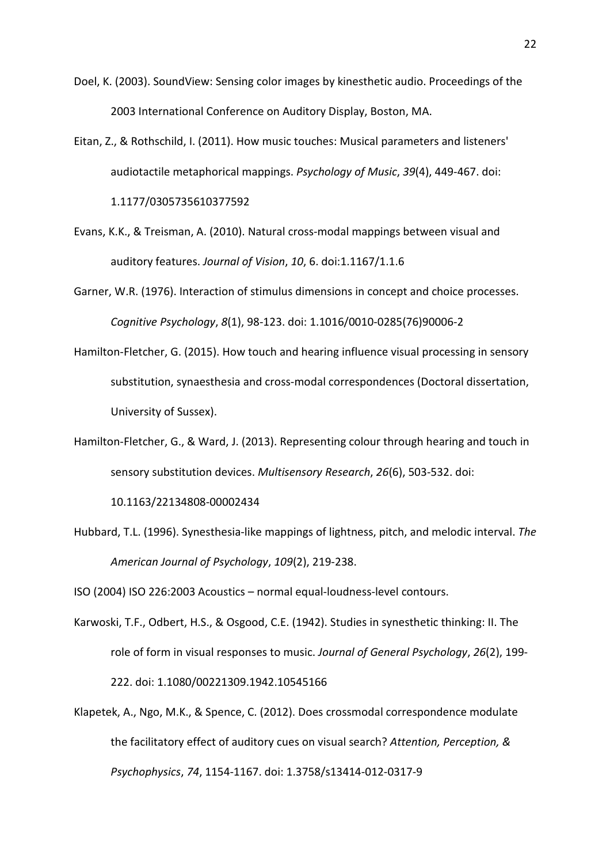- Doel, K. (2003). SoundView: Sensing color images by kinesthetic audio. Proceedings of the 2003 International Conference on Auditory Display, Boston, MA.
- Eitan, Z., & Rothschild, I. (2011). How music touches: Musical parameters and listeners' audiotactile metaphorical mappings. *Psychology of Music*, *39*(4), 449-467. doi: 1.1177/0305735610377592
- Evans, K.K., & Treisman, A. (2010). Natural cross-modal mappings between visual and auditory features. *Journal of Vision*, *10*, 6. doi:1.1167/1.1.6
- Garner, W.R. (1976). Interaction of stimulus dimensions in concept and choice processes. *Cognitive Psychology*, *8*(1), 98-123. doi: 1.1016/0010-0285(76)90006-2
- Hamilton-Fletcher, G. (2015). How touch and hearing influence visual processing in sensory substitution, synaesthesia and cross-modal correspondences (Doctoral dissertation, University of Sussex).
- Hamilton-Fletcher, G., & Ward, J. (2013). Representing colour through hearing and touch in sensory substitution devices. *Multisensory Research*, *26*(6), 503-532. doi:

10.1163/22134808-00002434

Hubbard, T.L. (1996). Synesthesia-like mappings of lightness, pitch, and melodic interval. *The American Journal of Psychology*, *109*(2), 219-238.

ISO (2004) ISO 226:2003 Acoustics – normal equal-loudness-level contours.

- Karwoski, T.F., Odbert, H.S., & Osgood, C.E. (1942). Studies in synesthetic thinking: II. The role of form in visual responses to music. *Journal of General Psychology*, *26*(2), 199- 222. doi: 1.1080/00221309.1942.10545166
- Klapetek, A., Ngo, M.K., & Spence, C. (2012). Does crossmodal correspondence modulate the facilitatory effect of auditory cues on visual search? *Attention, Perception, & Psychophysics*, *74*, 1154-1167. doi: 1.3758/s13414-012-0317-9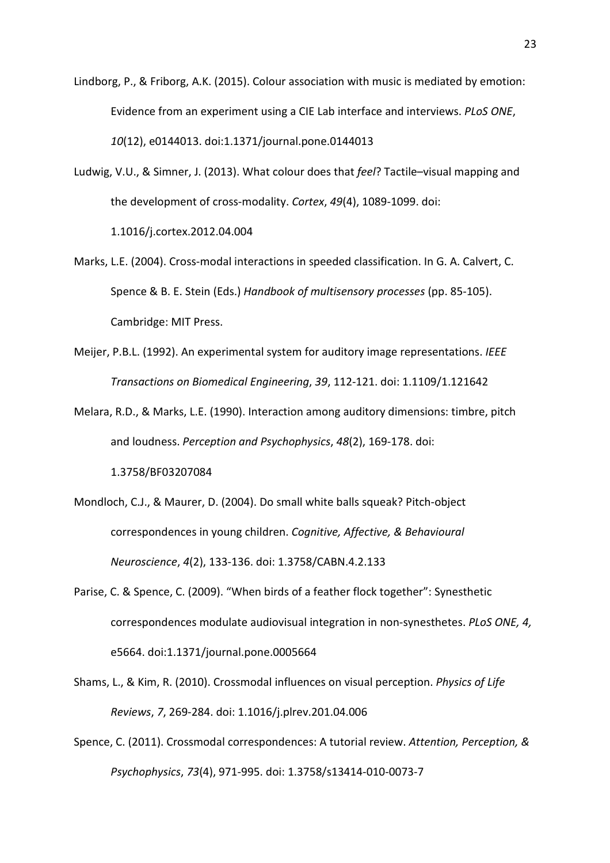Lindborg, P., & Friborg, A.K. (2015). Colour association with music is mediated by emotion: Evidence from an experiment using a CIE Lab interface and interviews. *PLoS ONE*, *10*(12), e0144013. doi:1.1371/journal.pone.0144013

Ludwig, V.U., & Simner, J. (2013). What colour does that *feel*? Tactile–visual mapping and the development of cross-modality. *Cortex*, *49*(4), 1089-1099. doi:

1.1016/j.cortex.2012.04.004

- Marks, L.E. (2004). Cross-modal interactions in speeded classification. In G. A. Calvert, C. Spence & B. E. Stein (Eds.) *Handbook of multisensory processes* (pp. 85-105). Cambridge: MIT Press.
- Meijer, P.B.L. (1992). An experimental system for auditory image representations. *IEEE Transactions on Biomedical Engineering*, *39*, 112-121. doi: 1.1109/1.121642
- Melara, R.D., & Marks, L.E. (1990). Interaction among auditory dimensions: timbre, pitch and loudness. *Perception and Psychophysics*, *48*(2), 169-178. doi: 1.3758/BF03207084
- Mondloch, C.J., & Maurer, D. (2004). Do small white balls squeak? Pitch-object correspondences in young children. *Cognitive, Affective, & Behavioural Neuroscience*, *4*(2), 133-136. doi: 1.3758/CABN.4.2.133
- Parise, C. & Spence, C. (2009). "When birds of a feather flock together": Synesthetic correspondences modulate audiovisual integration in non-synesthetes. *PLoS ONE, 4,* e5664. doi:1.1371/journal.pone.0005664
- Shams, L., & Kim, R. (2010). Crossmodal influences on visual perception. *Physics of Life Reviews*, *7*, 269-284. doi: 1.1016/j.plrev.201.04.006
- Spence, C. (2011). Crossmodal correspondences: A tutorial review. *Attention, Perception, & Psychophysics*, *73*(4), 971-995. doi: 1.3758/s13414-010-0073-7